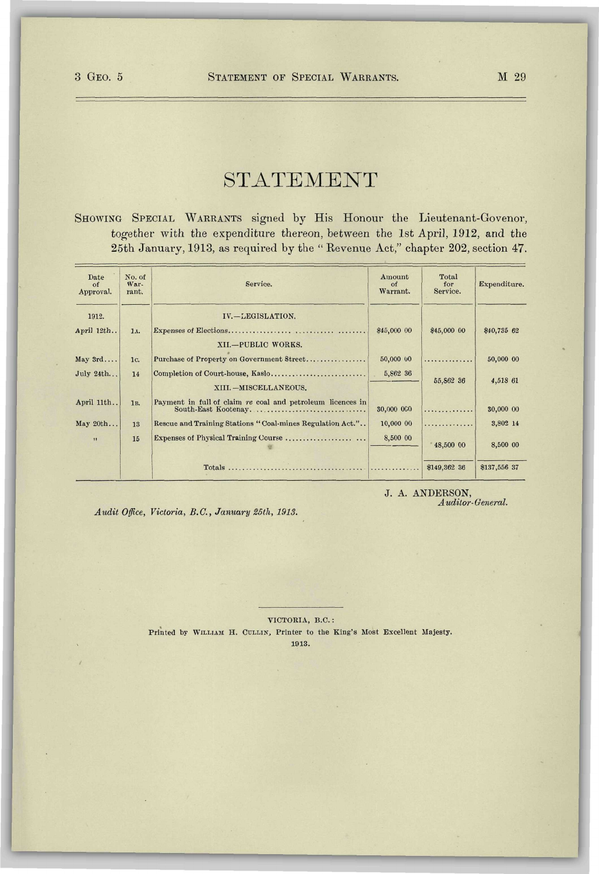## STATEMENT

SHOWING SPECIAL WARRANTS signed by His Honour the Lieutenant-Govenor, together with the expenditure thereon, between the 1st April, 1912, and the 25th January, 1913, as required by the " Revenue Act," chapter 202, section 47.

| Date<br>$\alpha$ f<br>Approval. | No. of<br>War-<br>rant. | Service.                                                                          | Amount<br>$\alpha$ f<br>Warrant. | Total<br>for<br>Service. | Expenditure. |
|---------------------------------|-------------------------|-----------------------------------------------------------------------------------|----------------------------------|--------------------------|--------------|
| 1912.<br>April 12th             | 1A.                     | IV.-LEGISLATION.                                                                  | \$45,000 00                      | \$45,000 00              | \$40,735 62  |
|                                 |                         | XII.-PUBLIC WORKS.                                                                |                                  |                          |              |
| May 3rd                         | 1c.                     | Purchase of Property on Government Street                                         | 50,000 00                        | .                        | 50,000 00    |
| July 24th                       | 14                      | Completion of Court-house, Kaslo<br>XIII. - MISCELLANEOUS.                        | 5,862 36                         | 55,862 36                | 4,518 61     |
|                                 |                         |                                                                                   |                                  |                          |              |
| April 11th                      | 1 <sub>B</sub> .        | Payment in full of claim re coal and petroleum licences in<br>South-East Kootenay | 30,000 000                       | .                        | 30,000 00    |
| May 20th                        | 13                      | Rescue and Training Stations "Coal-mines Regulation Act."                         | 10,000 00                        | .                        | 3,802 14     |
| $\mathbf{H}$                    | 15                      | Expenses of Physical Training Course                                              | 8,500 00                         | 48,500 00                | 8,500 00     |
|                                 |                         |                                                                                   |                                  | \$149,362 36             | \$137,556 37 |

J. A. ANDERSON , *A uditor- General.* 

*Audit Office, Victoria, B.C., January 25th, 1913.* 

VICTORIA, B.C. : Printed by WILLIAM H. CULLIN, Printer to the King's Most Excellent Majesty. 1913.